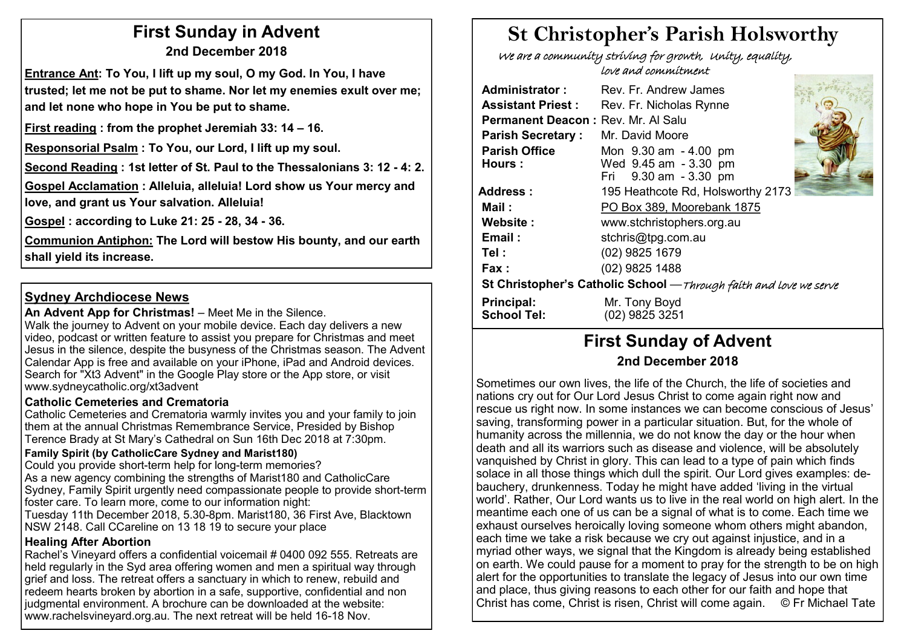# **First Sunday in Advent 2nd December 2018**

**Entrance Ant: To You, I lift up my soul, O my God. In You, I have trusted; let me not be put to shame. Nor let my enemies exult over me; and let none who hope in You be put to shame.** 

**First reading : from the prophet Jeremiah 33: 14 – 16.** 

**Responsorial Psalm : To You, our Lord, I lift up my soul.**

**Second Reading : 1st letter of St. Paul to the Thessalonians 3: 12 - 4: 2.**

**Gospel Acclamation : Alleluia, alleluia! Lord show us Your mercy and love, and grant us Your salvation. Alleluia!**

**Gospel : according to Luke 21: 25 - 28, 34 - 36.**

**Communion Antiphon: The Lord will bestow His bounty, and our earth shall yield its increase.**

### **Sydney Archdiocese News**

An Advent App for Christmas! – Meet Me in the Silence. Walk the journey to Advent on your mobile device. Each day delivers a new

video, podcast or written feature to assist you prepare for Christmas and meet Jesus in the silence, despite the busyness of the Christmas season. The Advent Calendar App is free and available on your iPhone, iPad and Android devices. Search for "Xt3 Advent" in the Google Play store or the App store, or visit www.sydneycatholic.org/xt3advent

#### **Catholic Cemeteries and Crematoria**

Catholic Cemeteries and Crematoria warmly invites you and your family to join them at the annual Christmas Remembrance Service, Presided by Bishop Terence Brady at St Mary's Cathedral on Sun 16th Dec 2018 at 7:30pm.

#### **Family Spirit (by CatholicCare Sydney and Marist180)**

Could you provide short-term help for long-term memories? As a new agency combining the strengths of Marist180 and CatholicCare Sydney, Family Spirit urgently need compassionate people to provide short-term foster care. To learn more, come to our information night:

Tuesday 11th December 2018, 5.30-8pm. Marist180, 36 First Ave, Blacktown NSW 2148. Call CCareline on 13 18 19 to secure your place

#### **Healing After Abortion**

Rachel's Vineyard offers a confidential voicemail # 0400 092 555. Retreats are held regularly in the Syd area offering women and men a spiritual way through grief and loss. The retreat offers a sanctuary in which to renew, rebuild and redeem hearts broken by abortion in a safe, supportive, confidential and non judgmental environment. A brochure can be downloaded at the website: www.rachelsvineyard.org.au. The next retreat will be held 16-18 Nov.

# **St Christopher's Parish Holsworthy**

 We are a community striving for growth, Unity, equality, love and commitment

| <b>Administrator:</b>                                              | Rev. Fr. Andrew James                                                   |  |  |  |  |  |
|--------------------------------------------------------------------|-------------------------------------------------------------------------|--|--|--|--|--|
| <b>Assistant Priest:</b>                                           | Rev. Fr. Nicholas Rynne                                                 |  |  |  |  |  |
| Permanent Deacon: Rev. Mr. Al Salu                                 |                                                                         |  |  |  |  |  |
| <b>Parish Secretary:</b>                                           | Mr. David Moore                                                         |  |  |  |  |  |
| <b>Parish Office</b><br>Hours:                                     | Mon 9.30 am - 4.00 pm<br>Wed 9.45 am - 3.30 pm<br>Fri 9.30 am - 3.30 pm |  |  |  |  |  |
| Address :                                                          | 195 Heathcote Rd, Holsworthy 2173                                       |  |  |  |  |  |
| Mail :                                                             | PO Box 389, Moorebank 1875                                              |  |  |  |  |  |
| Website:                                                           | www.stchristophers.org.au                                               |  |  |  |  |  |
| Email:                                                             | stchris@tpg.com.au                                                      |  |  |  |  |  |
| Tel :                                                              | (02) 9825 1679                                                          |  |  |  |  |  |
| Fax :                                                              | (02) 9825 1488                                                          |  |  |  |  |  |
| St Christopher's Catholic School - Through faith and love we serve |                                                                         |  |  |  |  |  |
| Principal:<br><b>School Tel:</b>                                   | Mr. Tony Boyd<br>(02) 9825 3251                                         |  |  |  |  |  |

# **First Sunday of Advent 2nd December 2018**

Sometimes our own lives, the life of the Church, the life of societies and nations cry out for Our Lord Jesus Christ to come again right now and rescue us right now. In some instances we can become conscious of Jesus' saving, transforming power in a particular situation. But, for the whole of humanity across the millennia, we do not know the day or the hour when death and all its warriors such as disease and violence, will be absolutely vanquished by Christ in glory. This can lead to a type of pain which finds solace in all those things which dull the spirit. Our Lord gives examples: debauchery, drunkenness. Today he might have added 'living in the virtual world'. Rather, Our Lord wants us to live in the real world on high alert. In the meantime each one of us can be a signal of what is to come. Each time we exhaust ourselves heroically loving someone whom others might abandon, each time we take a risk because we cry out against injustice, and in a myriad other ways, we signal that the Kingdom is already being established on earth. We could pause for a moment to pray for the strength to be on high alert for the opportunities to translate the legacy of Jesus into our own time and place, thus giving reasons to each other for our faith and hope that Christ has come, Christ is risen, Christ will come again. © Fr Michael Tate